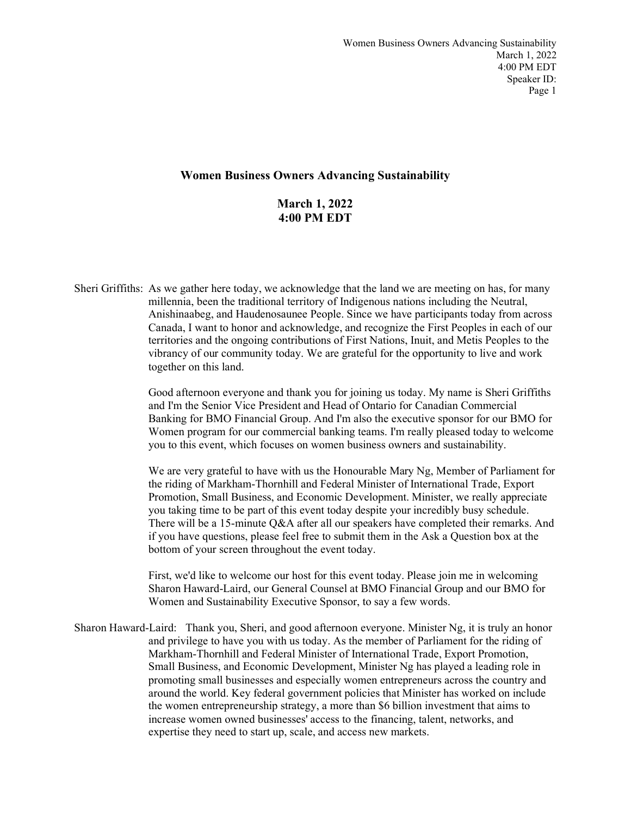## **Women Business Owners Advancing Sustainability**

**March 1, 2022 4:00 PM EDT**

Sheri Griffiths: As we gather here today, we acknowledge that the land we are meeting on has, for many millennia, been the traditional territory of Indigenous nations including the Neutral, Anishinaabeg, and Haudenosaunee People. Since we have participants today from across Canada, I want to honor and acknowledge, and recognize the First Peoples in each of our territories and the ongoing contributions of First Nations, Inuit, and Metis Peoples to the vibrancy of our community today. We are grateful for the opportunity to live and work together on this land.

> Good afternoon everyone and thank you for joining us today. My name is Sheri Griffiths and I'm the Senior Vice President and Head of Ontario for Canadian Commercial Banking for BMO Financial Group. And I'm also the executive sponsor for our BMO for Women program for our commercial banking teams. I'm really pleased today to welcome you to this event, which focuses on women business owners and sustainability.

> We are very grateful to have with us the Honourable Mary Ng, Member of Parliament for the riding of Markham-Thornhill and Federal Minister of International Trade, Export Promotion, Small Business, and Economic Development. Minister, we really appreciate you taking time to be part of this event today despite your incredibly busy schedule. There will be a 15-minute Q&A after all our speakers have completed their remarks. And if you have questions, please feel free to submit them in the Ask a Question box at the bottom of your screen throughout the event today.

First, we'd like to welcome our host for this event today. Please join me in welcoming Sharon Haward-Laird, our General Counsel at BMO Financial Group and our BMO for Women and Sustainability Executive Sponsor, to say a few words.

Sharon Haward-Laird: Thank you, Sheri, and good afternoon everyone. Minister Ng, it is truly an honor and privilege to have you with us today. As the member of Parliament for the riding of Markham-Thornhill and Federal Minister of International Trade, Export Promotion, Small Business, and Economic Development, Minister Ng has played a leading role in promoting small businesses and especially women entrepreneurs across the country and around the world. Key federal government policies that Minister has worked on include the women entrepreneurship strategy, a more than \$6 billion investment that aims to increase women owned businesses' access to the financing, talent, networks, and expertise they need to start up, scale, and access new markets.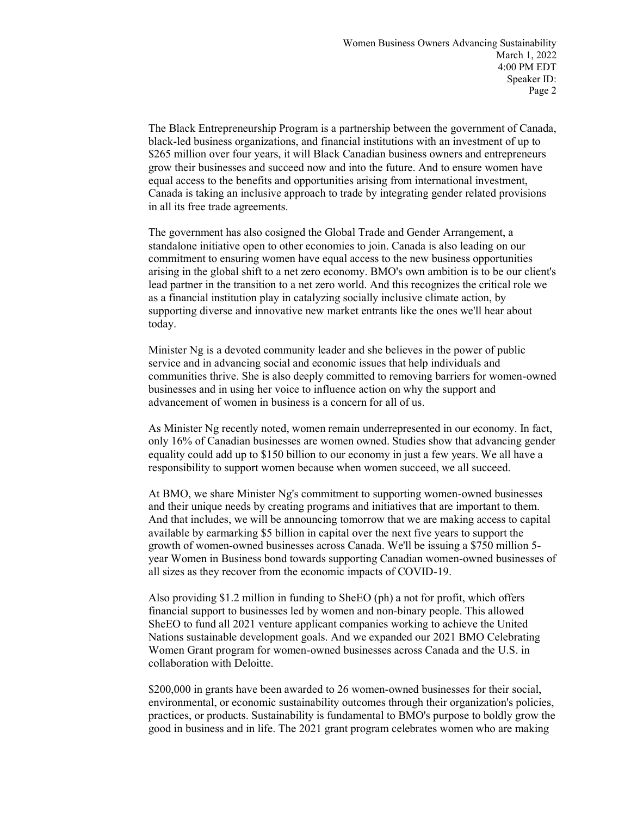The Black Entrepreneurship Program is a partnership between the government of Canada, black-led business organizations, and financial institutions with an investment of up to \$265 million over four years, it will Black Canadian business owners and entrepreneurs grow their businesses and succeed now and into the future. And to ensure women have equal access to the benefits and opportunities arising from international investment, Canada is taking an inclusive approach to trade by integrating gender related provisions in all its free trade agreements.

The government has also cosigned the Global Trade and Gender Arrangement, a standalone initiative open to other economies to join. Canada is also leading on our commitment to ensuring women have equal access to the new business opportunities arising in the global shift to a net zero economy. BMO's own ambition is to be our client's lead partner in the transition to a net zero world. And this recognizes the critical role we as a financial institution play in catalyzing socially inclusive climate action, by supporting diverse and innovative new market entrants like the ones we'll hear about today.

Minister Ng is a devoted community leader and she believes in the power of public service and in advancing social and economic issues that help individuals and communities thrive. She is also deeply committed to removing barriers for women-owned businesses and in using her voice to influence action on why the support and advancement of women in business is a concern for all of us.

As Minister Ng recently noted, women remain underrepresented in our economy. In fact, only 16% of Canadian businesses are women owned. Studies show that advancing gender equality could add up to \$150 billion to our economy in just a few years. We all have a responsibility to support women because when women succeed, we all succeed.

At BMO, we share Minister Ng's commitment to supporting women-owned businesses and their unique needs by creating programs and initiatives that are important to them. And that includes, we will be announcing tomorrow that we are making access to capital available by earmarking \$5 billion in capital over the next five years to support the growth of women-owned businesses across Canada. We'll be issuing a \$750 million 5 year Women in Business bond towards supporting Canadian women-owned businesses of all sizes as they recover from the economic impacts of COVID-19.

Also providing \$1.2 million in funding to SheEO (ph) a not for profit, which offers financial support to businesses led by women and non-binary people. This allowed SheEO to fund all 2021 venture applicant companies working to achieve the United Nations sustainable development goals. And we expanded our 2021 BMO Celebrating Women Grant program for women-owned businesses across Canada and the U.S. in collaboration with Deloitte.

\$200,000 in grants have been awarded to 26 women-owned businesses for their social, environmental, or economic sustainability outcomes through their organization's policies, practices, or products. Sustainability is fundamental to BMO's purpose to boldly grow the good in business and in life. The 2021 grant program celebrates women who are making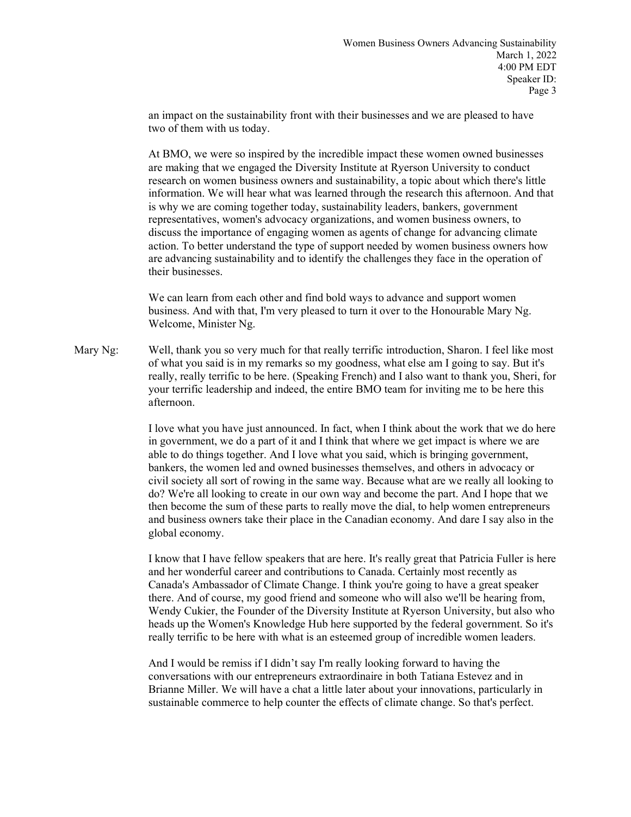an impact on the sustainability front with their businesses and we are pleased to have two of them with us today.

At BMO, we were so inspired by the incredible impact these women owned businesses are making that we engaged the Diversity Institute at Ryerson University to conduct research on women business owners and sustainability, a topic about which there's little information. We will hear what was learned through the research this afternoon. And that is why we are coming together today, sustainability leaders, bankers, government representatives, women's advocacy organizations, and women business owners, to discuss the importance of engaging women as agents of change for advancing climate action. To better understand the type of support needed by women business owners how are advancing sustainability and to identify the challenges they face in the operation of their businesses.

We can learn from each other and find bold ways to advance and support women business. And with that, I'm very pleased to turn it over to the Honourable Mary Ng. Welcome, Minister Ng.

Mary Ng: Well, thank you so very much for that really terrific introduction, Sharon. I feel like most of what you said is in my remarks so my goodness, what else am I going to say. But it's really, really terrific to be here. (Speaking French) and I also want to thank you, Sheri, for your terrific leadership and indeed, the entire BMO team for inviting me to be here this afternoon.

> I love what you have just announced. In fact, when I think about the work that we do here in government, we do a part of it and I think that where we get impact is where we are able to do things together. And I love what you said, which is bringing government, bankers, the women led and owned businesses themselves, and others in advocacy or civil society all sort of rowing in the same way. Because what are we really all looking to do? We're all looking to create in our own way and become the part. And I hope that we then become the sum of these parts to really move the dial, to help women entrepreneurs and business owners take their place in the Canadian economy. And dare I say also in the global economy.

> I know that I have fellow speakers that are here. It's really great that Patricia Fuller is here and her wonderful career and contributions to Canada. Certainly most recently as Canada's Ambassador of Climate Change. I think you're going to have a great speaker there. And of course, my good friend and someone who will also we'll be hearing from, Wendy Cukier, the Founder of the Diversity Institute at Ryerson University, but also who heads up the Women's Knowledge Hub here supported by the federal government. So it's really terrific to be here with what is an esteemed group of incredible women leaders.

And I would be remiss if I didn't say I'm really looking forward to having the conversations with our entrepreneurs extraordinaire in both Tatiana Estevez and in Brianne Miller. We will have a chat a little later about your innovations, particularly in sustainable commerce to help counter the effects of climate change. So that's perfect.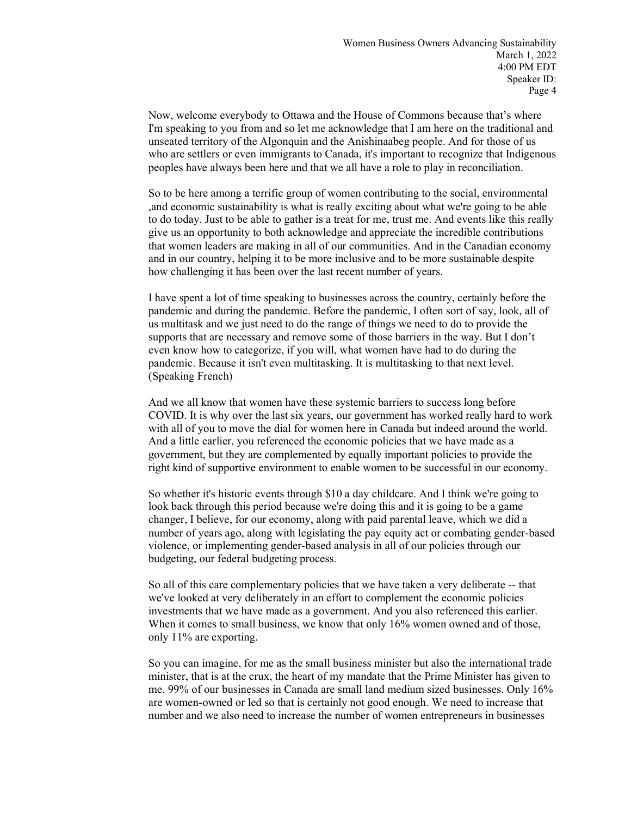Now, welcome everybody to Ottawa and the House of Commons because that's where I'm speaking to you from and so let me acknowledge that I am here on the traditional and unseated territory of the Algonquin and the Anishinaabeg people. And for those of us who are settlers or even immigrants to Canada, it's important to recognize that Indigenous peoples have always been here and that we all have a role to play in reconciliation.

So to be here among a terrific group of women contributing to the social, environmental ,and economic sustainability is what is really exciting about what we're going to be able to do today. Just to be able to gather is a treat for me, trust me. And events like this really give us an opportunity to both acknowledge and appreciate the incredible contributions that women leaders are making in all of our communities. And in the Canadian economy and in our country, helping it to be more inclusive and to be more sustainable despite how challenging it has been over the last recent number of years.

I have spent a lot of time speaking to businesses across the country, certainly before the pandemic and during the pandemic. Before the pandemic, I often sort of say, look, all of us multitask and we just need to do the range of things we need to do to provide the supports that are necessary and remove some of those barriers in the way. But I don't even know how to categorize, if you will, what women have had to do during the pandemic. Because it isn't even multitasking. It is multitasking to that next level. (Speaking French)

And we all know that women have these systemic barriers to success long before COVID. It is why over the last six years, our government has worked really hard to work with all of you to move the dial for women here in Canada but indeed around the world. And a little earlier, you referenced the economic policies that we have made as a government, but they are complemented by equally important policies to provide the right kind of supportive environment to enable women to be successful in our economy.

So whether it's historic events through \$10 a day childcare. And I think we're going to look back through this period because we're doing this and it is going to be a game changer, I believe, for our economy, along with paid parental leave, which we did a number of years ago, along with legislating the pay equity act or combating gender-based violence, or implementing gender-based analysis in all of our policies through our budgeting, our federal budgeting process.

So all of this care complementary policies that we have taken a very deliberate -- that we've looked at very deliberately in an effort to complement the economic policies investments that we have made as a government. And you also referenced this earlier. When it comes to small business, we know that only 16% women owned and of those, only 11% are exporting.

So you can imagine, for me as the small business minister but also the international trade minister, that is at the crux, the heart of my mandate that the Prime Minister has given to me. 99% of our businesses in Canada are small land medium sized businesses. Only 16% are women-owned or led so that is certainly not good enough. We need to increase that number and we also need to increase the number of women entrepreneurs in businesses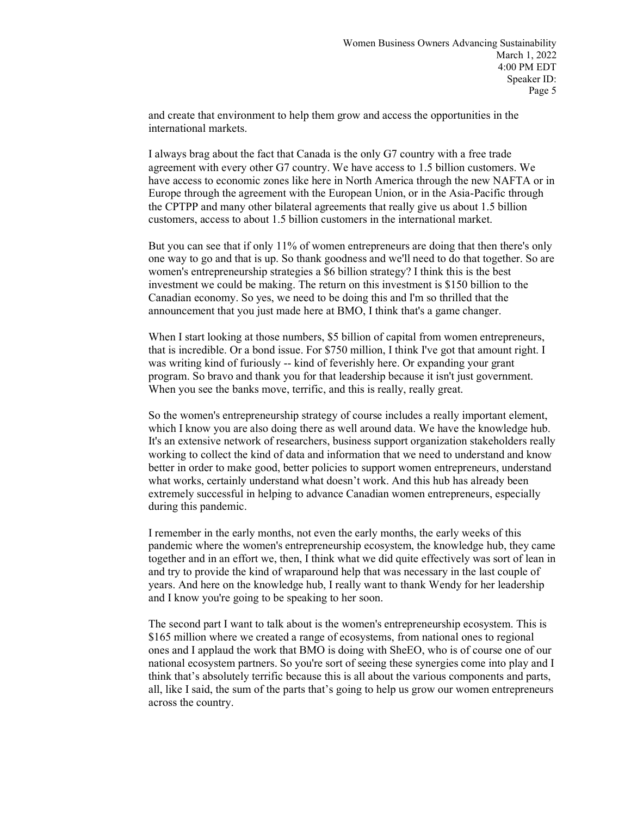and create that environment to help them grow and access the opportunities in the international markets.

I always brag about the fact that Canada is the only G7 country with a free trade agreement with every other G7 country. We have access to 1.5 billion customers. We have access to economic zones like here in North America through the new NAFTA or in Europe through the agreement with the European Union, or in the Asia-Pacific through the CPTPP and many other bilateral agreements that really give us about 1.5 billion customers, access to about 1.5 billion customers in the international market.

But you can see that if only 11% of women entrepreneurs are doing that then there's only one way to go and that is up. So thank goodness and we'll need to do that together. So are women's entrepreneurship strategies a \$6 billion strategy? I think this is the best investment we could be making. The return on this investment is \$150 billion to the Canadian economy. So yes, we need to be doing this and I'm so thrilled that the announcement that you just made here at BMO, I think that's a game changer.

When I start looking at those numbers, \$5 billion of capital from women entrepreneurs, that is incredible. Or a bond issue. For \$750 million, I think I've got that amount right. I was writing kind of furiously -- kind of feverishly here. Or expanding your grant program. So bravo and thank you for that leadership because it isn't just government. When you see the banks move, terrific, and this is really, really great.

So the women's entrepreneurship strategy of course includes a really important element, which I know you are also doing there as well around data. We have the knowledge hub. It's an extensive network of researchers, business support organization stakeholders really working to collect the kind of data and information that we need to understand and know better in order to make good, better policies to support women entrepreneurs, understand what works, certainly understand what doesn't work. And this hub has already been extremely successful in helping to advance Canadian women entrepreneurs, especially during this pandemic.

I remember in the early months, not even the early months, the early weeks of this pandemic where the women's entrepreneurship ecosystem, the knowledge hub, they came together and in an effort we, then, I think what we did quite effectively was sort of lean in and try to provide the kind of wraparound help that was necessary in the last couple of years. And here on the knowledge hub, I really want to thank Wendy for her leadership and I know you're going to be speaking to her soon.

The second part I want to talk about is the women's entrepreneurship ecosystem. This is \$165 million where we created a range of ecosystems, from national ones to regional ones and I applaud the work that BMO is doing with SheEO, who is of course one of our national ecosystem partners. So you're sort of seeing these synergies come into play and I think that's absolutely terrific because this is all about the various components and parts, all, like I said, the sum of the parts that's going to help us grow our women entrepreneurs across the country.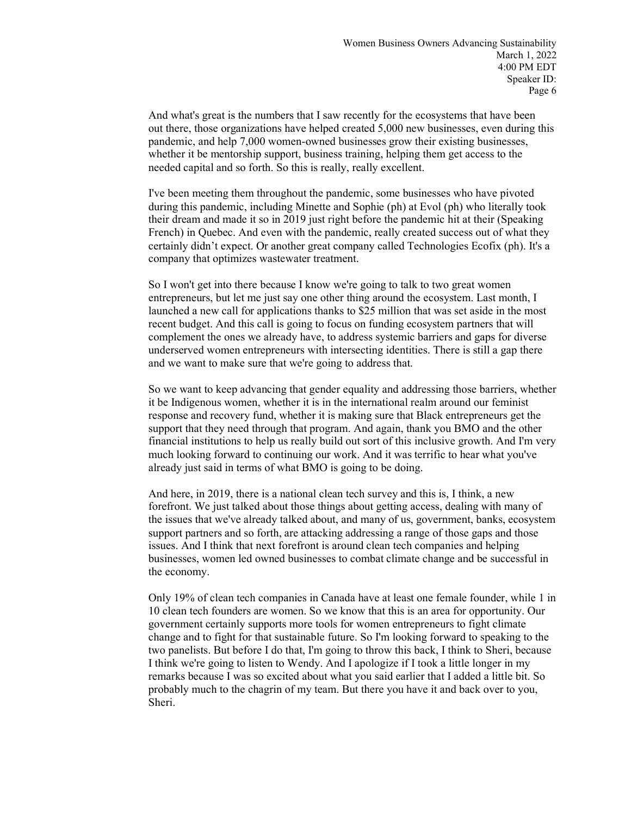And what's great is the numbers that I saw recently for the ecosystems that have been out there, those organizations have helped created 5,000 new businesses, even during this pandemic, and help 7,000 women-owned businesses grow their existing businesses, whether it be mentorship support, business training, helping them get access to the needed capital and so forth. So this is really, really excellent.

I've been meeting them throughout the pandemic, some businesses who have pivoted during this pandemic, including Minette and Sophie (ph) at Evol (ph) who literally took their dream and made it so in 2019 just right before the pandemic hit at their (Speaking French) in Quebec. And even with the pandemic, really created success out of what they certainly didn't expect. Or another great company called Technologies Ecofix (ph). It's a company that optimizes wastewater treatment.

So I won't get into there because I know we're going to talk to two great women entrepreneurs, but let me just say one other thing around the ecosystem. Last month, I launched a new call for applications thanks to \$25 million that was set aside in the most recent budget. And this call is going to focus on funding ecosystem partners that will complement the ones we already have, to address systemic barriers and gaps for diverse underserved women entrepreneurs with intersecting identities. There is still a gap there and we want to make sure that we're going to address that.

So we want to keep advancing that gender equality and addressing those barriers, whether it be Indigenous women, whether it is in the international realm around our feminist response and recovery fund, whether it is making sure that Black entrepreneurs get the support that they need through that program. And again, thank you BMO and the other financial institutions to help us really build out sort of this inclusive growth. And I'm very much looking forward to continuing our work. And it was terrific to hear what you've already just said in terms of what BMO is going to be doing.

And here, in 2019, there is a national clean tech survey and this is, I think, a new forefront. We just talked about those things about getting access, dealing with many of the issues that we've already talked about, and many of us, government, banks, ecosystem support partners and so forth, are attacking addressing a range of those gaps and those issues. And I think that next forefront is around clean tech companies and helping businesses, women led owned businesses to combat climate change and be successful in the economy.

Only 19% of clean tech companies in Canada have at least one female founder, while 1 in 10 clean tech founders are women. So we know that this is an area for opportunity. Our government certainly supports more tools for women entrepreneurs to fight climate change and to fight for that sustainable future. So I'm looking forward to speaking to the two panelists. But before I do that, I'm going to throw this back, I think to Sheri, because I think we're going to listen to Wendy. And I apologize if I took a little longer in my remarks because I was so excited about what you said earlier that I added a little bit. So probably much to the chagrin of my team. But there you have it and back over to you, Sheri.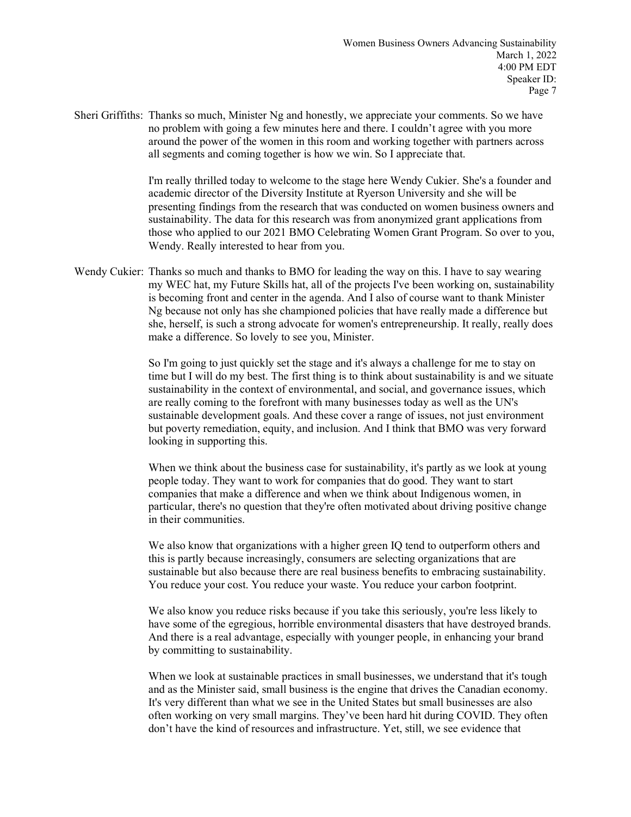Sheri Griffiths: Thanks so much, Minister Ng and honestly, we appreciate your comments. So we have no problem with going a few minutes here and there. I couldn't agree with you more around the power of the women in this room and working together with partners across all segments and coming together is how we win. So I appreciate that.

> I'm really thrilled today to welcome to the stage here Wendy Cukier. She's a founder and academic director of the Diversity Institute at Ryerson University and she will be presenting findings from the research that was conducted on women business owners and sustainability. The data for this research was from anonymized grant applications from those who applied to our 2021 BMO Celebrating Women Grant Program. So over to you, Wendy. Really interested to hear from you.

Wendy Cukier: Thanks so much and thanks to BMO for leading the way on this. I have to say wearing my WEC hat, my Future Skills hat, all of the projects I've been working on, sustainability is becoming front and center in the agenda. And I also of course want to thank Minister Ng because not only has she championed policies that have really made a difference but she, herself, is such a strong advocate for women's entrepreneurship. It really, really does make a difference. So lovely to see you, Minister.

> So I'm going to just quickly set the stage and it's always a challenge for me to stay on time but I will do my best. The first thing is to think about sustainability is and we situate sustainability in the context of environmental, and social, and governance issues, which are really coming to the forefront with many businesses today as well as the UN's sustainable development goals. And these cover a range of issues, not just environment but poverty remediation, equity, and inclusion. And I think that BMO was very forward looking in supporting this.

When we think about the business case for sustainability, it's partly as we look at young people today. They want to work for companies that do good. They want to start companies that make a difference and when we think about Indigenous women, in particular, there's no question that they're often motivated about driving positive change in their communities.

We also know that organizations with a higher green IQ tend to outperform others and this is partly because increasingly, consumers are selecting organizations that are sustainable but also because there are real business benefits to embracing sustainability. You reduce your cost. You reduce your waste. You reduce your carbon footprint.

We also know you reduce risks because if you take this seriously, you're less likely to have some of the egregious, horrible environmental disasters that have destroyed brands. And there is a real advantage, especially with younger people, in enhancing your brand by committing to sustainability.

When we look at sustainable practices in small businesses, we understand that it's tough and as the Minister said, small business is the engine that drives the Canadian economy. It's very different than what we see in the United States but small businesses are also often working on very small margins. They've been hard hit during COVID. They often don't have the kind of resources and infrastructure. Yet, still, we see evidence that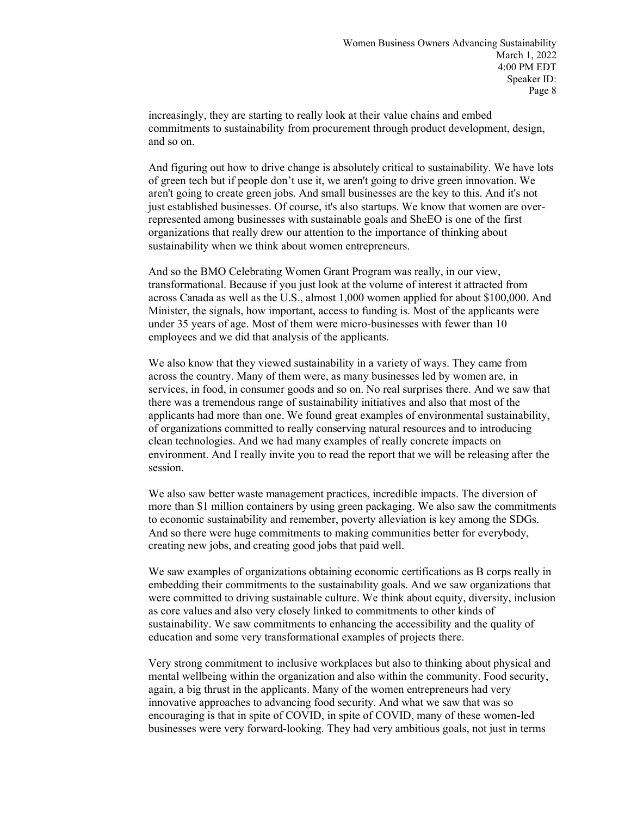increasingly, they are starting to really look at their value chains and embed commitments to sustainability from procurement through product development, design, and so on.

And figuring out how to drive change is absolutely critical to sustainability. We have lots of green tech but if people don't use it, we aren't going to drive green innovation. We aren't going to create green jobs. And small businesses are the key to this. And it's not just established businesses. Of course, it's also startups. We know that women are overrepresented among businesses with sustainable goals and SheEO is one of the first organizations that really drew our attention to the importance of thinking about sustainability when we think about women entrepreneurs.

And so the BMO Celebrating Women Grant Program was really, in our view, transformational. Because if you just look at the volume of interest it attracted from across Canada as well as the U.S., almost 1,000 women applied for about \$100,000. And Minister, the signals, how important, access to funding is. Most of the applicants were under 35 years of age. Most of them were micro-businesses with fewer than 10 employees and we did that analysis of the applicants.

We also know that they viewed sustainability in a variety of ways. They came from across the country. Many of them were, as many businesses led by women are, in services, in food, in consumer goods and so on. No real surprises there. And we saw that there was a tremendous range of sustainability initiatives and also that most of the applicants had more than one. We found great examples of environmental sustainability, of organizations committed to really conserving natural resources and to introducing clean technologies. And we had many examples of really concrete impacts on environment. And I really invite you to read the report that we will be releasing after the session.

We also saw better waste management practices, incredible impacts. The diversion of more than \$1 million containers by using green packaging. We also saw the commitments to economic sustainability and remember, poverty alleviation is key among the SDGs. And so there were huge commitments to making communities better for everybody, creating new jobs, and creating good jobs that paid well.

We saw examples of organizations obtaining economic certifications as B corps really in embedding their commitments to the sustainability goals. And we saw organizations that were committed to driving sustainable culture. We think about equity, diversity, inclusion as core values and also very closely linked to commitments to other kinds of sustainability. We saw commitments to enhancing the accessibility and the quality of education and some very transformational examples of projects there.

Very strong commitment to inclusive workplaces but also to thinking about physical and mental wellbeing within the organization and also within the community. Food security, again, a big thrust in the applicants. Many of the women entrepreneurs had very innovative approaches to advancing food security. And what we saw that was so encouraging is that in spite of COVID, in spite of COVID, many of these women-led businesses were very forward-looking. They had very ambitious goals, not just in terms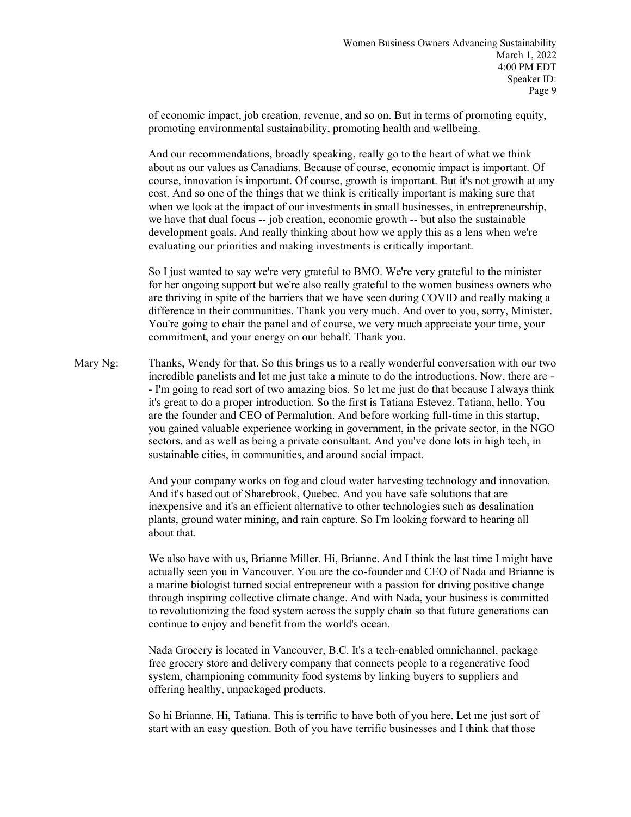of economic impact, job creation, revenue, and so on. But in terms of promoting equity, promoting environmental sustainability, promoting health and wellbeing.

And our recommendations, broadly speaking, really go to the heart of what we think about as our values as Canadians. Because of course, economic impact is important. Of course, innovation is important. Of course, growth is important. But it's not growth at any cost. And so one of the things that we think is critically important is making sure that when we look at the impact of our investments in small businesses, in entrepreneurship, we have that dual focus -- job creation, economic growth -- but also the sustainable development goals. And really thinking about how we apply this as a lens when we're evaluating our priorities and making investments is critically important.

So I just wanted to say we're very grateful to BMO. We're very grateful to the minister for her ongoing support but we're also really grateful to the women business owners who are thriving in spite of the barriers that we have seen during COVID and really making a difference in their communities. Thank you very much. And over to you, sorry, Minister. You're going to chair the panel and of course, we very much appreciate your time, your commitment, and your energy on our behalf. Thank you.

Mary Ng: Thanks, Wendy for that. So this brings us to a really wonderful conversation with our two incredible panelists and let me just take a minute to do the introductions. Now, there are - - I'm going to read sort of two amazing bios. So let me just do that because I always think it's great to do a proper introduction. So the first is Tatiana Estevez. Tatiana, hello. You are the founder and CEO of Permalution. And before working full-time in this startup, you gained valuable experience working in government, in the private sector, in the NGO sectors, and as well as being a private consultant. And you've done lots in high tech, in sustainable cities, in communities, and around social impact.

> And your company works on fog and cloud water harvesting technology and innovation. And it's based out of Sharebrook, Quebec. And you have safe solutions that are inexpensive and it's an efficient alternative to other technologies such as desalination plants, ground water mining, and rain capture. So I'm looking forward to hearing all about that.

> We also have with us, Brianne Miller. Hi, Brianne. And I think the last time I might have actually seen you in Vancouver. You are the co-founder and CEO of Nada and Brianne is a marine biologist turned social entrepreneur with a passion for driving positive change through inspiring collective climate change. And with Nada, your business is committed to revolutionizing the food system across the supply chain so that future generations can continue to enjoy and benefit from the world's ocean.

Nada Grocery is located in Vancouver, B.C. It's a tech-enabled omnichannel, package free grocery store and delivery company that connects people to a regenerative food system, championing community food systems by linking buyers to suppliers and offering healthy, unpackaged products.

So hi Brianne. Hi, Tatiana. This is terrific to have both of you here. Let me just sort of start with an easy question. Both of you have terrific businesses and I think that those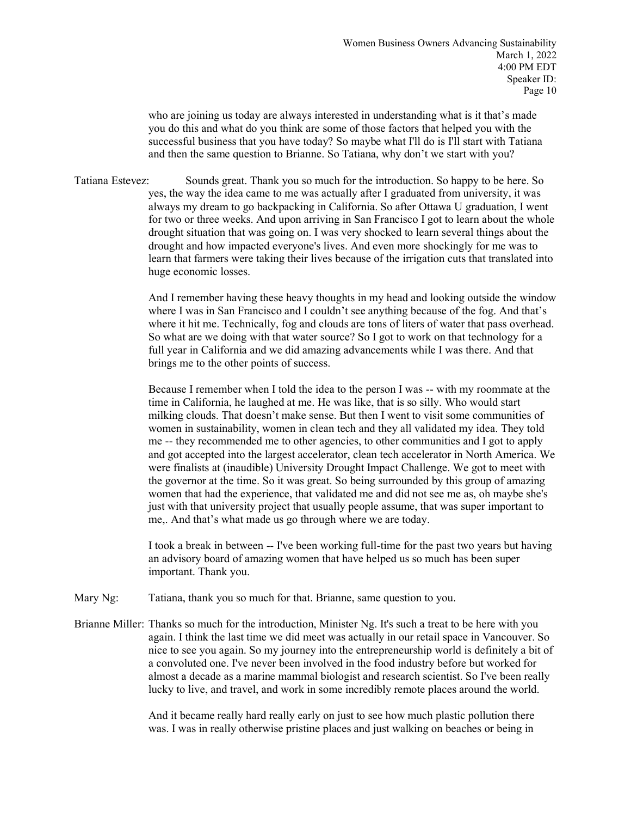who are joining us today are always interested in understanding what is it that's made you do this and what do you think are some of those factors that helped you with the successful business that you have today? So maybe what I'll do is I'll start with Tatiana and then the same question to Brianne. So Tatiana, why don't we start with you?

Tatiana Estevez: Sounds great. Thank you so much for the introduction. So happy to be here. So yes, the way the idea came to me was actually after I graduated from university, it was always my dream to go backpacking in California. So after Ottawa U graduation, I went for two or three weeks. And upon arriving in San Francisco I got to learn about the whole drought situation that was going on. I was very shocked to learn several things about the drought and how impacted everyone's lives. And even more shockingly for me was to learn that farmers were taking their lives because of the irrigation cuts that translated into huge economic losses.

> And I remember having these heavy thoughts in my head and looking outside the window where I was in San Francisco and I couldn't see anything because of the fog. And that's where it hit me. Technically, fog and clouds are tons of liters of water that pass overhead. So what are we doing with that water source? So I got to work on that technology for a full year in California and we did amazing advancements while I was there. And that brings me to the other points of success.

> Because I remember when I told the idea to the person I was -- with my roommate at the time in California, he laughed at me. He was like, that is so silly. Who would start milking clouds. That doesn't make sense. But then I went to visit some communities of women in sustainability, women in clean tech and they all validated my idea. They told me -- they recommended me to other agencies, to other communities and I got to apply and got accepted into the largest accelerator, clean tech accelerator in North America. We were finalists at (inaudible) University Drought Impact Challenge. We got to meet with the governor at the time. So it was great. So being surrounded by this group of amazing women that had the experience, that validated me and did not see me as, oh maybe she's just with that university project that usually people assume, that was super important to me,. And that's what made us go through where we are today.

> I took a break in between -- I've been working full-time for the past two years but having an advisory board of amazing women that have helped us so much has been super important. Thank you.

Mary Ng: Tatiana, thank you so much for that. Brianne, same question to you.

Brianne Miller: Thanks so much for the introduction, Minister Ng. It's such a treat to be here with you again. I think the last time we did meet was actually in our retail space in Vancouver. So nice to see you again. So my journey into the entrepreneurship world is definitely a bit of a convoluted one. I've never been involved in the food industry before but worked for almost a decade as a marine mammal biologist and research scientist. So I've been really lucky to live, and travel, and work in some incredibly remote places around the world.

> And it became really hard really early on just to see how much plastic pollution there was. I was in really otherwise pristine places and just walking on beaches or being in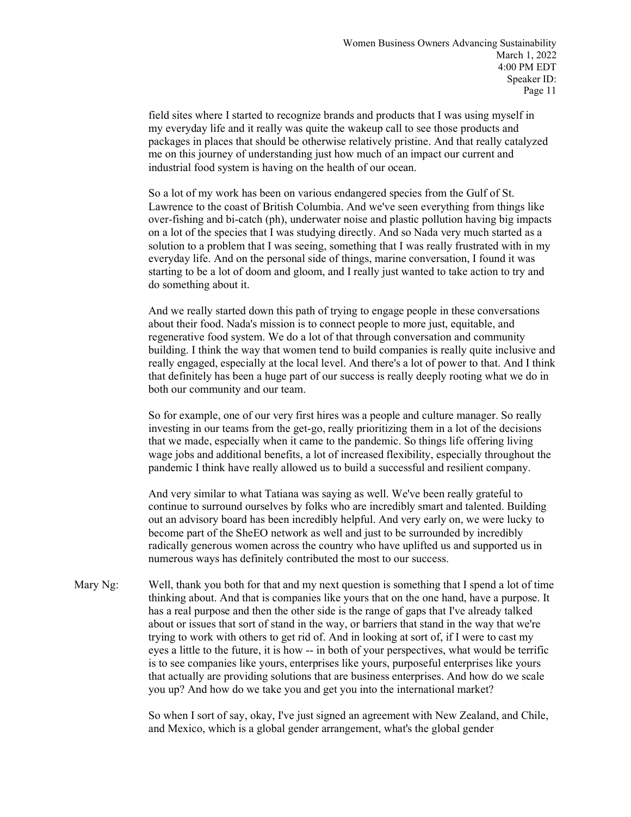field sites where I started to recognize brands and products that I was using myself in my everyday life and it really was quite the wakeup call to see those products and packages in places that should be otherwise relatively pristine. And that really catalyzed me on this journey of understanding just how much of an impact our current and industrial food system is having on the health of our ocean.

So a lot of my work has been on various endangered species from the Gulf of St. Lawrence to the coast of British Columbia. And we've seen everything from things like over-fishing and bi-catch (ph), underwater noise and plastic pollution having big impacts on a lot of the species that I was studying directly. And so Nada very much started as a solution to a problem that I was seeing, something that I was really frustrated with in my everyday life. And on the personal side of things, marine conversation, I found it was starting to be a lot of doom and gloom, and I really just wanted to take action to try and do something about it.

And we really started down this path of trying to engage people in these conversations about their food. Nada's mission is to connect people to more just, equitable, and regenerative food system. We do a lot of that through conversation and community building. I think the way that women tend to build companies is really quite inclusive and really engaged, especially at the local level. And there's a lot of power to that. And I think that definitely has been a huge part of our success is really deeply rooting what we do in both our community and our team.

So for example, one of our very first hires was a people and culture manager. So really investing in our teams from the get-go, really prioritizing them in a lot of the decisions that we made, especially when it came to the pandemic. So things life offering living wage jobs and additional benefits, a lot of increased flexibility, especially throughout the pandemic I think have really allowed us to build a successful and resilient company.

And very similar to what Tatiana was saying as well. We've been really grateful to continue to surround ourselves by folks who are incredibly smart and talented. Building out an advisory board has been incredibly helpful. And very early on, we were lucky to become part of the SheEO network as well and just to be surrounded by incredibly radically generous women across the country who have uplifted us and supported us in numerous ways has definitely contributed the most to our success.

Mary Ng: Well, thank you both for that and my next question is something that I spend a lot of time thinking about. And that is companies like yours that on the one hand, have a purpose. It has a real purpose and then the other side is the range of gaps that I've already talked about or issues that sort of stand in the way, or barriers that stand in the way that we're trying to work with others to get rid of. And in looking at sort of, if I were to cast my eyes a little to the future, it is how -- in both of your perspectives, what would be terrific is to see companies like yours, enterprises like yours, purposeful enterprises like yours that actually are providing solutions that are business enterprises. And how do we scale you up? And how do we take you and get you into the international market?

> So when I sort of say, okay, I've just signed an agreement with New Zealand, and Chile, and Mexico, which is a global gender arrangement, what's the global gender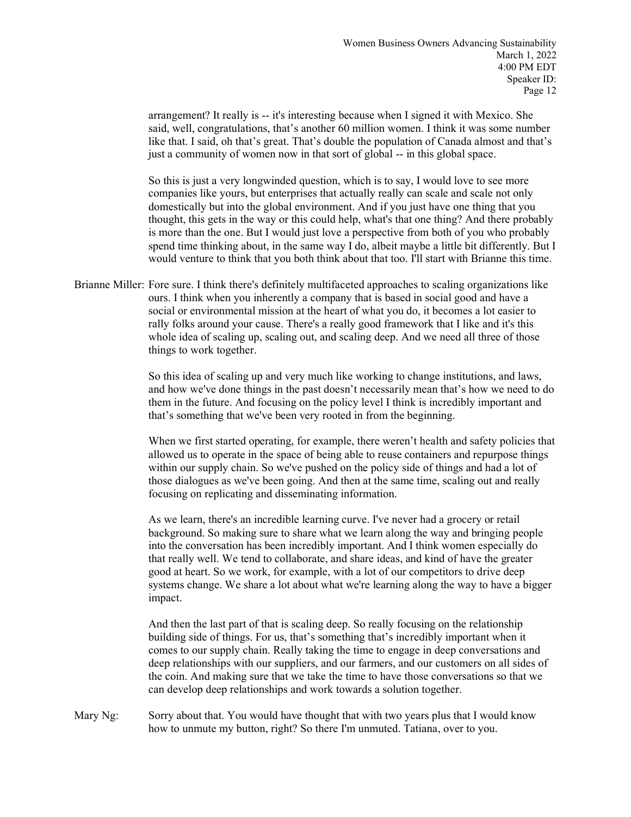arrangement? It really is -- it's interesting because when I signed it with Mexico. She said, well, congratulations, that's another 60 million women. I think it was some number like that. I said, oh that's great. That's double the population of Canada almost and that's just a community of women now in that sort of global -- in this global space.

So this is just a very longwinded question, which is to say, I would love to see more companies like yours, but enterprises that actually really can scale and scale not only domestically but into the global environment. And if you just have one thing that you thought, this gets in the way or this could help, what's that one thing? And there probably is more than the one. But I would just love a perspective from both of you who probably spend time thinking about, in the same way I do, albeit maybe a little bit differently. But I would venture to think that you both think about that too. I'll start with Brianne this time.

Brianne Miller: Fore sure. I think there's definitely multifaceted approaches to scaling organizations like ours. I think when you inherently a company that is based in social good and have a social or environmental mission at the heart of what you do, it becomes a lot easier to rally folks around your cause. There's a really good framework that I like and it's this whole idea of scaling up, scaling out, and scaling deep. And we need all three of those things to work together.

> So this idea of scaling up and very much like working to change institutions, and laws, and how we've done things in the past doesn't necessarily mean that's how we need to do them in the future. And focusing on the policy level I think is incredibly important and that's something that we've been very rooted in from the beginning.

> When we first started operating, for example, there weren't health and safety policies that allowed us to operate in the space of being able to reuse containers and repurpose things within our supply chain. So we've pushed on the policy side of things and had a lot of those dialogues as we've been going. And then at the same time, scaling out and really focusing on replicating and disseminating information.

> As we learn, there's an incredible learning curve. I've never had a grocery or retail background. So making sure to share what we learn along the way and bringing people into the conversation has been incredibly important. And I think women especially do that really well. We tend to collaborate, and share ideas, and kind of have the greater good at heart. So we work, for example, with a lot of our competitors to drive deep systems change. We share a lot about what we're learning along the way to have a bigger impact.

> And then the last part of that is scaling deep. So really focusing on the relationship building side of things. For us, that's something that's incredibly important when it comes to our supply chain. Really taking the time to engage in deep conversations and deep relationships with our suppliers, and our farmers, and our customers on all sides of the coin. And making sure that we take the time to have those conversations so that we can develop deep relationships and work towards a solution together.

Mary Ng: Sorry about that. You would have thought that with two years plus that I would know how to unmute my button, right? So there I'm unmuted. Tatiana, over to you.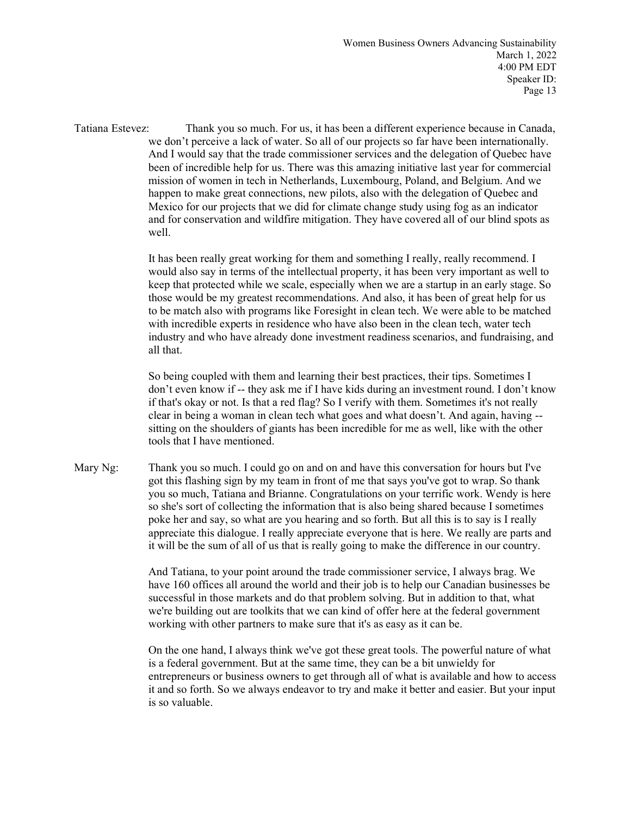Tatiana Estevez: Thank you so much. For us, it has been a different experience because in Canada, we don't perceive a lack of water. So all of our projects so far have been internationally. And I would say that the trade commissioner services and the delegation of Quebec have been of incredible help for us. There was this amazing initiative last year for commercial mission of women in tech in Netherlands, Luxembourg, Poland, and Belgium. And we happen to make great connections, new pilots, also with the delegation of Quebec and Mexico for our projects that we did for climate change study using fog as an indicator and for conservation and wildfire mitigation. They have covered all of our blind spots as well.

> It has been really great working for them and something I really, really recommend. I would also say in terms of the intellectual property, it has been very important as well to keep that protected while we scale, especially when we are a startup in an early stage. So those would be my greatest recommendations. And also, it has been of great help for us to be match also with programs like Foresight in clean tech. We were able to be matched with incredible experts in residence who have also been in the clean tech, water tech industry and who have already done investment readiness scenarios, and fundraising, and all that.

> So being coupled with them and learning their best practices, their tips. Sometimes I don't even know if -- they ask me if I have kids during an investment round. I don't know if that's okay or not. Is that a red flag? So I verify with them. Sometimes it's not really clear in being a woman in clean tech what goes and what doesn't. And again, having - sitting on the shoulders of giants has been incredible for me as well, like with the other tools that I have mentioned.

Mary Ng: Thank you so much. I could go on and on and have this conversation for hours but I've got this flashing sign by my team in front of me that says you've got to wrap. So thank you so much, Tatiana and Brianne. Congratulations on your terrific work. Wendy is here so she's sort of collecting the information that is also being shared because I sometimes poke her and say, so what are you hearing and so forth. But all this is to say is I really appreciate this dialogue. I really appreciate everyone that is here. We really are parts and it will be the sum of all of us that is really going to make the difference in our country.

> And Tatiana, to your point around the trade commissioner service, I always brag. We have 160 offices all around the world and their job is to help our Canadian businesses be successful in those markets and do that problem solving. But in addition to that, what we're building out are toolkits that we can kind of offer here at the federal government working with other partners to make sure that it's as easy as it can be.

On the one hand, I always think we've got these great tools. The powerful nature of what is a federal government. But at the same time, they can be a bit unwieldy for entrepreneurs or business owners to get through all of what is available and how to access it and so forth. So we always endeavor to try and make it better and easier. But your input is so valuable.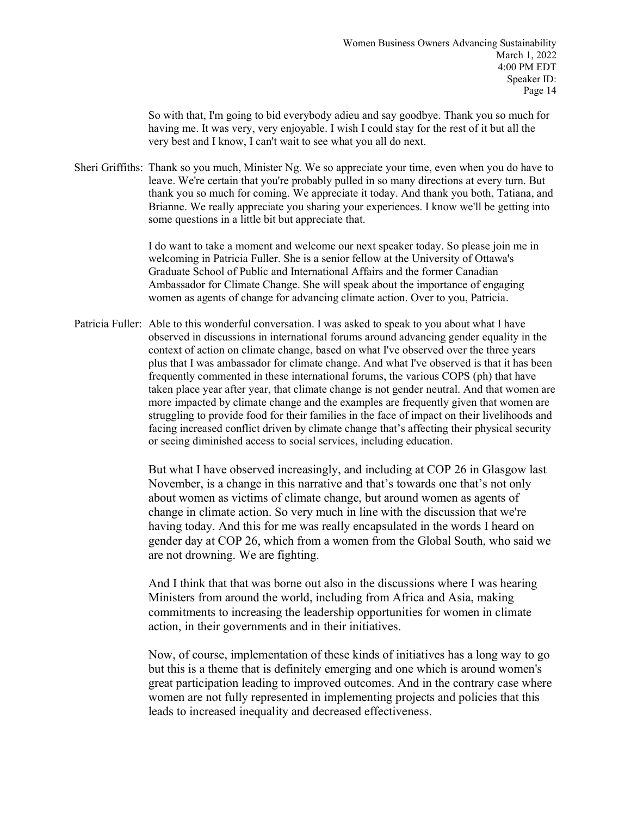So with that, I'm going to bid everybody adieu and say goodbye. Thank you so much for having me. It was very, very enjoyable. I wish I could stay for the rest of it but all the very best and I know, I can't wait to see what you all do next.

Sheri Griffiths: Thank so you much, Minister Ng. We so appreciate your time, even when you do have to leave. We're certain that you're probably pulled in so many directions at every turn. But thank you so much for coming. We appreciate it today. And thank you both, Tatiana, and Brianne. We really appreciate you sharing your experiences. I know we'll be getting into some questions in a little bit but appreciate that.

> I do want to take a moment and welcome our next speaker today. So please join me in welcoming in Patricia Fuller. She is a senior fellow at the University of Ottawa's Graduate School of Public and International Affairs and the former Canadian Ambassador for Climate Change. She will speak about the importance of engaging women as agents of change for advancing climate action. Over to you, Patricia.

Patricia Fuller: Able to this wonderful conversation. I was asked to speak to you about what I have observed in discussions in international forums around advancing gender equality in the context of action on climate change, based on what I've observed over the three years plus that I was ambassador for climate change. And what I've observed is that it has been frequently commented in these international forums, the various COPS (ph) that have taken place year after year, that climate change is not gender neutral. And that women are more impacted by climate change and the examples are frequently given that women are struggling to provide food for their families in the face of impact on their livelihoods and facing increased conflict driven by climate change that's affecting their physical security or seeing diminished access to social services, including education.

> But what I have observed increasingly, and including at COP 26 in Glasgow last November, is a change in this narrative and that's towards one that's not only about women as victims of climate change, but around women as agents of change in climate action. So very much in line with the discussion that we're having today. And this for me was really encapsulated in the words I heard on gender day at COP 26, which from a women from the Global South, who said we are not drowning. We are fighting.

And I think that that was borne out also in the discussions where I was hearing Ministers from around the world, including from Africa and Asia, making commitments to increasing the leadership opportunities for women in climate action, in their governments and in their initiatives.

Now, of course, implementation of these kinds of initiatives has a long way to go but this is a theme that is definitely emerging and one which is around women's great participation leading to improved outcomes. And in the contrary case where women are not fully represented in implementing projects and policies that this leads to increased inequality and decreased effectiveness.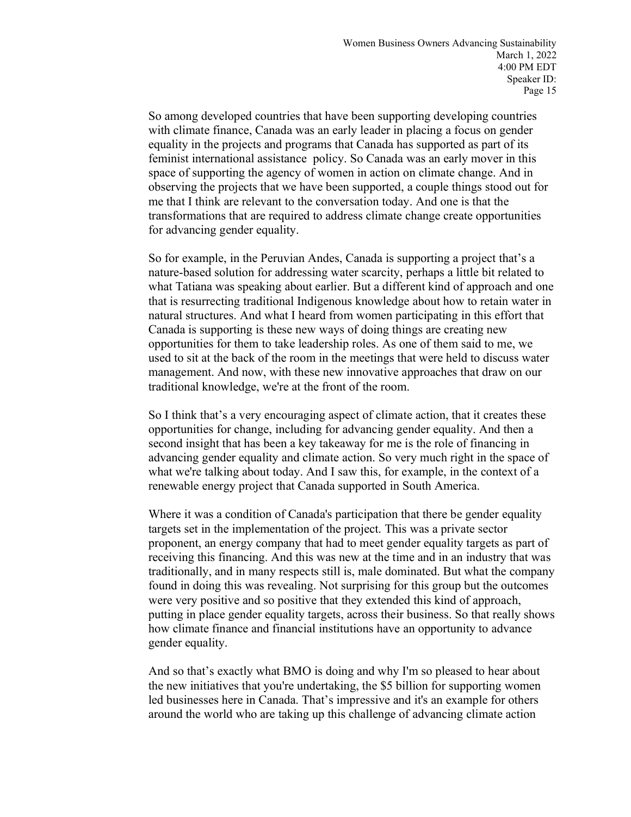So among developed countries that have been supporting developing countries with climate finance, Canada was an early leader in placing a focus on gender equality in the projects and programs that Canada has supported as part of its feminist international assistance policy. So Canada was an early mover in this space of supporting the agency of women in action on climate change. And in observing the projects that we have been supported, a couple things stood out for me that I think are relevant to the conversation today. And one is that the transformations that are required to address climate change create opportunities for advancing gender equality.

So for example, in the Peruvian Andes, Canada is supporting a project that's a nature-based solution for addressing water scarcity, perhaps a little bit related to what Tatiana was speaking about earlier. But a different kind of approach and one that is resurrecting traditional Indigenous knowledge about how to retain water in natural structures. And what I heard from women participating in this effort that Canada is supporting is these new ways of doing things are creating new opportunities for them to take leadership roles. As one of them said to me, we used to sit at the back of the room in the meetings that were held to discuss water management. And now, with these new innovative approaches that draw on our traditional knowledge, we're at the front of the room.

So I think that's a very encouraging aspect of climate action, that it creates these opportunities for change, including for advancing gender equality. And then a second insight that has been a key takeaway for me is the role of financing in advancing gender equality and climate action. So very much right in the space of what we're talking about today. And I saw this, for example, in the context of a renewable energy project that Canada supported in South America.

Where it was a condition of Canada's participation that there be gender equality targets set in the implementation of the project. This was a private sector proponent, an energy company that had to meet gender equality targets as part of receiving this financing. And this was new at the time and in an industry that was traditionally, and in many respects still is, male dominated. But what the company found in doing this was revealing. Not surprising for this group but the outcomes were very positive and so positive that they extended this kind of approach, putting in place gender equality targets, across their business. So that really shows how climate finance and financial institutions have an opportunity to advance gender equality.

And so that's exactly what BMO is doing and why I'm so pleased to hear about the new initiatives that you're undertaking, the \$5 billion for supporting women led businesses here in Canada. That's impressive and it's an example for others around the world who are taking up this challenge of advancing climate action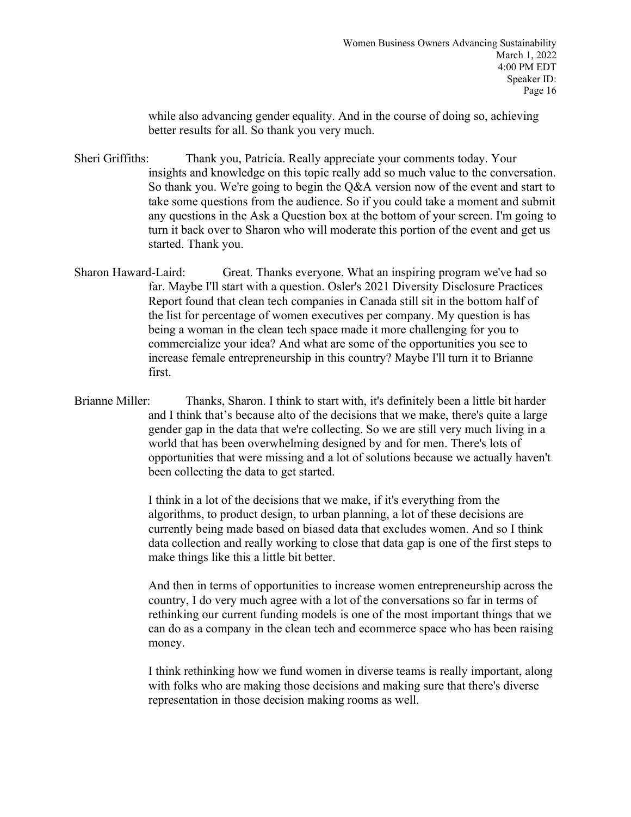while also advancing gender equality. And in the course of doing so, achieving better results for all. So thank you very much.

Sheri Griffiths: Thank you, Patricia. Really appreciate your comments today. Your insights and knowledge on this topic really add so much value to the conversation. So thank you. We're going to begin the Q&A version now of the event and start to take some questions from the audience. So if you could take a moment and submit any questions in the Ask a Question box at the bottom of your screen. I'm going to turn it back over to Sharon who will moderate this portion of the event and get us started. Thank you.

- Sharon Haward-Laird: Great. Thanks everyone. What an inspiring program we've had so far. Maybe I'll start with a question. Osler's 2021 Diversity Disclosure Practices Report found that clean tech companies in Canada still sit in the bottom half of the list for percentage of women executives per company. My question is has being a woman in the clean tech space made it more challenging for you to commercialize your idea? And what are some of the opportunities you see to increase female entrepreneurship in this country? Maybe I'll turn it to Brianne first.
- Brianne Miller: Thanks, Sharon. I think to start with, it's definitely been a little bit harder and I think that's because alto of the decisions that we make, there's quite a large gender gap in the data that we're collecting. So we are still very much living in a world that has been overwhelming designed by and for men. There's lots of opportunities that were missing and a lot of solutions because we actually haven't been collecting the data to get started.

I think in a lot of the decisions that we make, if it's everything from the algorithms, to product design, to urban planning, a lot of these decisions are currently being made based on biased data that excludes women. And so I think data collection and really working to close that data gap is one of the first steps to make things like this a little bit better.

And then in terms of opportunities to increase women entrepreneurship across the country, I do very much agree with a lot of the conversations so far in terms of rethinking our current funding models is one of the most important things that we can do as a company in the clean tech and ecommerce space who has been raising money.

I think rethinking how we fund women in diverse teams is really important, along with folks who are making those decisions and making sure that there's diverse representation in those decision making rooms as well.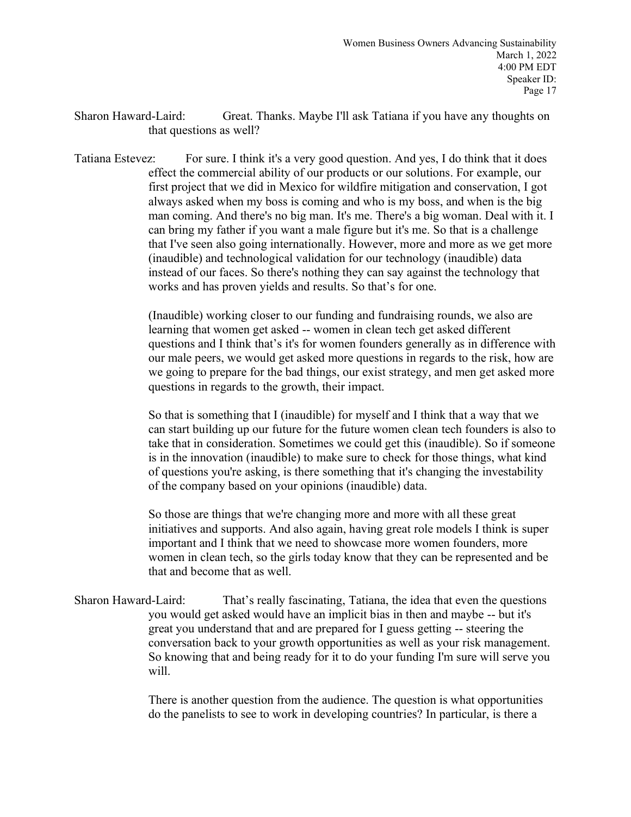- Sharon Haward-Laird: Great. Thanks. Maybe I'll ask Tatiana if you have any thoughts on that questions as well?
- Tatiana Estevez: For sure. I think it's a very good question. And yes, I do think that it does effect the commercial ability of our products or our solutions. For example, our first project that we did in Mexico for wildfire mitigation and conservation, I got always asked when my boss is coming and who is my boss, and when is the big man coming. And there's no big man. It's me. There's a big woman. Deal with it. I can bring my father if you want a male figure but it's me. So that is a challenge that I've seen also going internationally. However, more and more as we get more (inaudible) and technological validation for our technology (inaudible) data instead of our faces. So there's nothing they can say against the technology that works and has proven yields and results. So that's for one.

(Inaudible) working closer to our funding and fundraising rounds, we also are learning that women get asked -- women in clean tech get asked different questions and I think that's it's for women founders generally as in difference with our male peers, we would get asked more questions in regards to the risk, how are we going to prepare for the bad things, our exist strategy, and men get asked more questions in regards to the growth, their impact.

So that is something that I (inaudible) for myself and I think that a way that we can start building up our future for the future women clean tech founders is also to take that in consideration. Sometimes we could get this (inaudible). So if someone is in the innovation (inaudible) to make sure to check for those things, what kind of questions you're asking, is there something that it's changing the investability of the company based on your opinions (inaudible) data.

So those are things that we're changing more and more with all these great initiatives and supports. And also again, having great role models I think is super important and I think that we need to showcase more women founders, more women in clean tech, so the girls today know that they can be represented and be that and become that as well.

Sharon Haward-Laird: That's really fascinating, Tatiana, the idea that even the questions you would get asked would have an implicit bias in then and maybe -- but it's great you understand that and are prepared for I guess getting -- steering the conversation back to your growth opportunities as well as your risk management. So knowing that and being ready for it to do your funding I'm sure will serve you will.

> There is another question from the audience. The question is what opportunities do the panelists to see to work in developing countries? In particular, is there a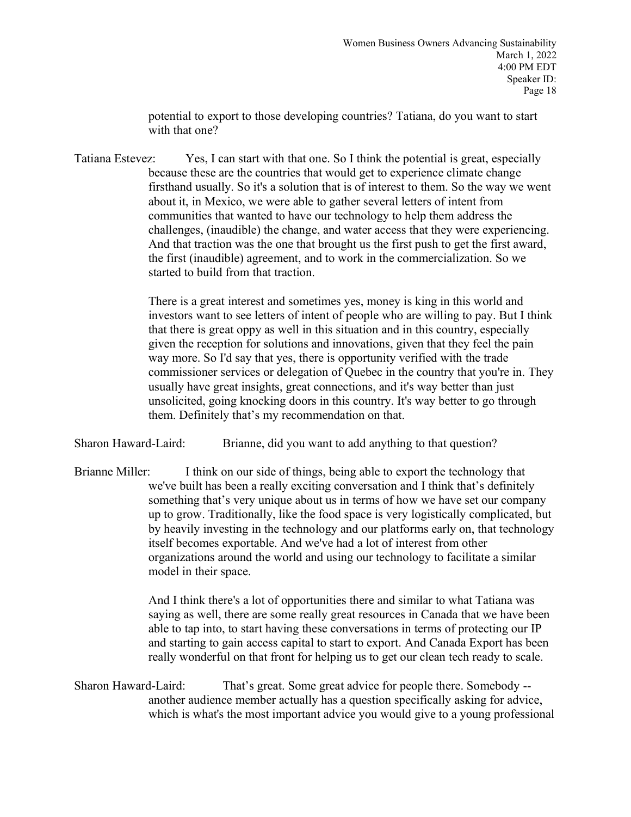potential to export to those developing countries? Tatiana, do you want to start with that one?

Tatiana Estevez: Yes, I can start with that one. So I think the potential is great, especially because these are the countries that would get to experience climate change firsthand usually. So it's a solution that is of interest to them. So the way we went about it, in Mexico, we were able to gather several letters of intent from communities that wanted to have our technology to help them address the challenges, (inaudible) the change, and water access that they were experiencing. And that traction was the one that brought us the first push to get the first award, the first (inaudible) agreement, and to work in the commercialization. So we started to build from that traction.

> There is a great interest and sometimes yes, money is king in this world and investors want to see letters of intent of people who are willing to pay. But I think that there is great oppy as well in this situation and in this country, especially given the reception for solutions and innovations, given that they feel the pain way more. So I'd say that yes, there is opportunity verified with the trade commissioner services or delegation of Quebec in the country that you're in. They usually have great insights, great connections, and it's way better than just unsolicited, going knocking doors in this country. It's way better to go through them. Definitely that's my recommendation on that.

Sharon Haward-Laird: Brianne, did you want to add anything to that question?

Brianne Miller: I think on our side of things, being able to export the technology that we've built has been a really exciting conversation and I think that's definitely something that's very unique about us in terms of how we have set our company up to grow. Traditionally, like the food space is very logistically complicated, but by heavily investing in the technology and our platforms early on, that technology itself becomes exportable. And we've had a lot of interest from other organizations around the world and using our technology to facilitate a similar model in their space.

> And I think there's a lot of opportunities there and similar to what Tatiana was saying as well, there are some really great resources in Canada that we have been able to tap into, to start having these conversations in terms of protecting our IP and starting to gain access capital to start to export. And Canada Export has been really wonderful on that front for helping us to get our clean tech ready to scale.

Sharon Haward-Laird: That's great. Some great advice for people there. Somebody - another audience member actually has a question specifically asking for advice, which is what's the most important advice you would give to a young professional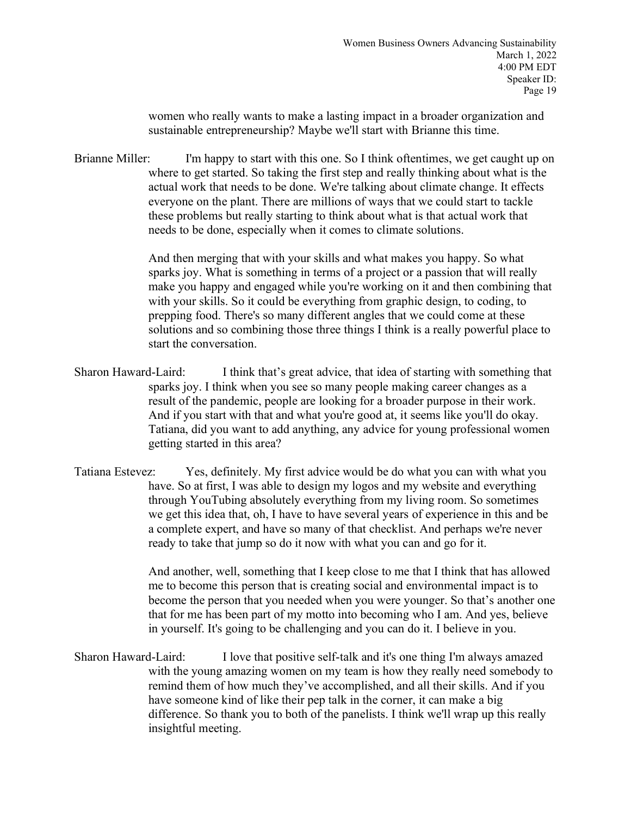women who really wants to make a lasting impact in a broader organization and sustainable entrepreneurship? Maybe we'll start with Brianne this time.

Brianne Miller: I'm happy to start with this one. So I think oftentimes, we get caught up on where to get started. So taking the first step and really thinking about what is the actual work that needs to be done. We're talking about climate change. It effects everyone on the plant. There are millions of ways that we could start to tackle these problems but really starting to think about what is that actual work that needs to be done, especially when it comes to climate solutions.

> And then merging that with your skills and what makes you happy. So what sparks joy. What is something in terms of a project or a passion that will really make you happy and engaged while you're working on it and then combining that with your skills. So it could be everything from graphic design, to coding, to prepping food. There's so many different angles that we could come at these solutions and so combining those three things I think is a really powerful place to start the conversation.

Sharon Haward-Laird: I think that's great advice, that idea of starting with something that sparks joy. I think when you see so many people making career changes as a result of the pandemic, people are looking for a broader purpose in their work. And if you start with that and what you're good at, it seems like you'll do okay. Tatiana, did you want to add anything, any advice for young professional women getting started in this area?

Tatiana Estevez: Yes, definitely. My first advice would be do what you can with what you have. So at first, I was able to design my logos and my website and everything through YouTubing absolutely everything from my living room. So sometimes we get this idea that, oh, I have to have several years of experience in this and be a complete expert, and have so many of that checklist. And perhaps we're never ready to take that jump so do it now with what you can and go for it.

> And another, well, something that I keep close to me that I think that has allowed me to become this person that is creating social and environmental impact is to become the person that you needed when you were younger. So that's another one that for me has been part of my motto into becoming who I am. And yes, believe in yourself. It's going to be challenging and you can do it. I believe in you.

Sharon Haward-Laird: I love that positive self-talk and it's one thing I'm always amazed with the young amazing women on my team is how they really need somebody to remind them of how much they've accomplished, and all their skills. And if you have someone kind of like their pep talk in the corner, it can make a big difference. So thank you to both of the panelists. I think we'll wrap up this really insightful meeting.